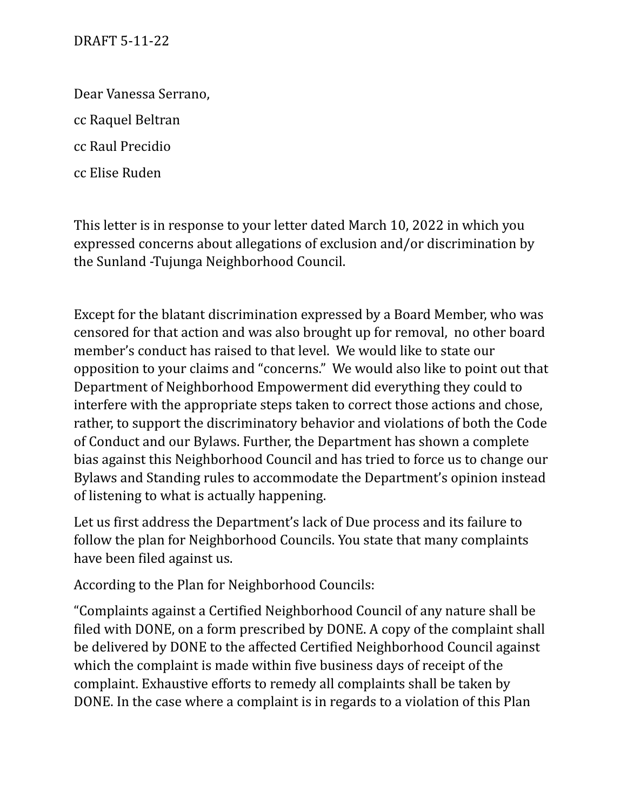Dear Vanessa Serrano,

cc Raquel Beltran

cc Raul Precidio

cc Elise Ruden

This letter is in response to your letter dated March 10, 2022 in which you expressed concerns about allegations of exclusion and/or discrimination by the Sunland -Tujunga Neighborhood Council.

Except for the blatant discrimination expressed by a Board Member, who was censored for that action and was also brought up for removal, no other board member's conduct has raised to that level. We would like to state our opposition to your claims and "concerns." We would also like to point out that Department of Neighborhood Empowerment did everything they could to interfere with the appropriate steps taken to correct those actions and chose, rather, to support the discriminatory behavior and violations of both the Code of Conduct and our Bylaws. Further, the Department has shown a complete bias against this Neighborhood Council and has tried to force us to change our Bylaws and Standing rules to accommodate the Department's opinion instead of listening to what is actually happening.

Let us first address the Department's lack of Due process and its failure to follow the plan for Neighborhood Councils. You state that many complaints have been filed against us.

According to the Plan for Neighborhood Councils:

"Complaints against a Certified Neighborhood Council of any nature shall be filed with DONE, on a form prescribed by DONE. A copy of the complaint shall be delivered by DONE to the affected Certified Neighborhood Council against which the complaint is made within five business days of receipt of the complaint. Exhaustive efforts to remedy all complaints shall be taken by DONE. In the case where a complaint is in regards to a violation of this Plan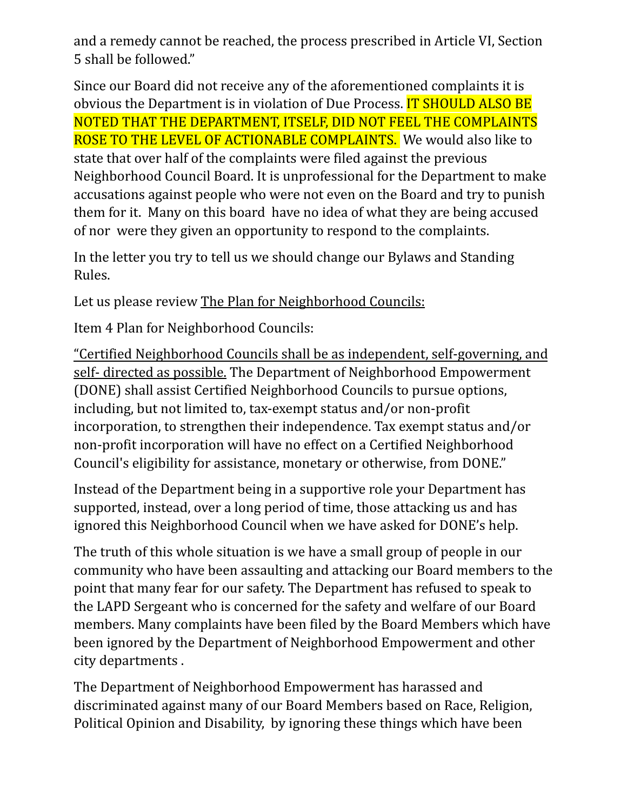and a remedy cannot be reached, the process prescribed in Article VI, Section 5 shall be followed."

Since our Board did not receive any of the aforementioned complaints it is obvious the Department is in violation of Due Process. IT SHOULD ALSO BE NOTED THAT THE DEPARTMENT, ITSELF, DID NOT FEEL THE COMPLAINTS ROSE TO THE LEVEL OF ACTIONABLE COMPLAINTS. We would also like to state that over half of the complaints were filed against the previous Neighborhood Council Board. It is unprofessional for the Department to make accusations against people who were not even on the Board and try to punish them for it. Many on this board have no idea of what they are being accused of nor were they given an opportunity to respond to the complaints.

In the letter you try to tell us we should change our Bylaws and Standing Rules.

Let us please review The Plan for Neighborhood Councils:

Item 4 Plan for Neighborhood Councils:

"Certified Neighborhood Councils shall be as independent, self-governing, and self- directed as possible. The Department of Neighborhood Empowerment (DONE) shall assist Certified Neighborhood Councils to pursue options, including, but not limited to, tax-exempt status and/or non-profit incorporation, to strengthen their independence. Tax exempt status and/or non-profit incorporation will have no effect on a Certified Neighborhood Council's eligibility for assistance, monetary or otherwise, from DONE."

Instead of the Department being in a supportive role your Department has supported, instead, over a long period of time, those attacking us and has ignored this Neighborhood Council when we have asked for DONE's help.

The truth of this whole situation is we have a small group of people in our community who have been assaulting and attacking our Board members to the point that many fear for our safety. The Department has refused to speak to the LAPD Sergeant who is concerned for the safety and welfare of our Board members. Many complaints have been filed by the Board Members which have been ignored by the Department of Neighborhood Empowerment and other city departments .

The Department of Neighborhood Empowerment has harassed and discriminated against many of our Board Members based on Race, Religion, Political Opinion and Disability, by ignoring these things which have been